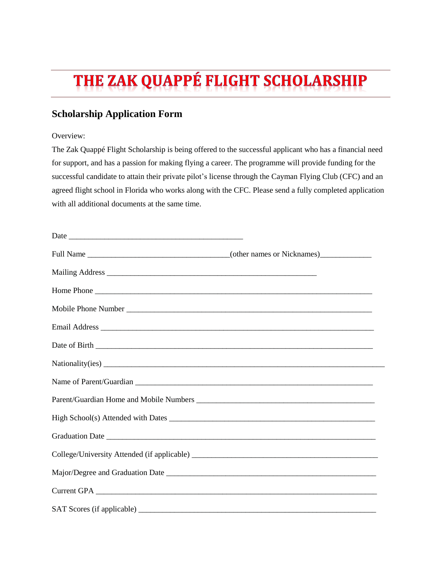# THE ZAK QUAPPÉ FLIGHT SCHOLARSHIP

# **Scholarship Application Form**

## Overview:

The Zak Quappé Flight Scholarship is being offered to the successful applicant who has a financial need for support, and has a passion for making flying a career. The programme will provide funding for the successful candidate to attain their private pilot's license through the Cayman Flying Club (CFC) and an agreed flight school in Florida who works along with the CFC. Please send a fully completed application with all additional documents at the same time.